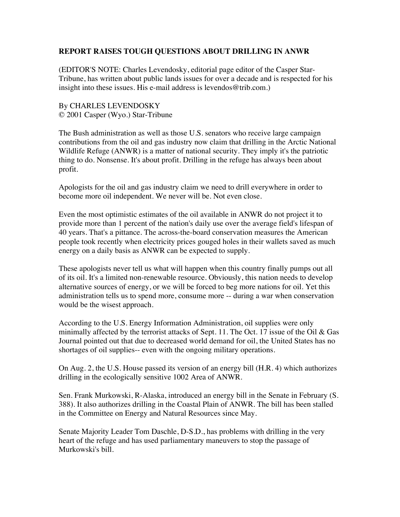## **REPORT RAISES TOUGH QUESTIONS ABOUT DRILLING IN ANWR**

(EDITOR'S NOTE: Charles Levendosky, editorial page editor of the Casper Star-Tribune, has written about public lands issues for over a decade and is respected for his insight into these issues. His e-mail address is levendos@trib.com.)

## By CHARLES LEVENDOSKY © 2001 Casper (Wyo.) Star-Tribune

The Bush administration as well as those U.S. senators who receive large campaign contributions from the oil and gas industry now claim that drilling in the Arctic National Wildlife Refuge (ANWR) is a matter of national security. They imply it's the patriotic thing to do. Nonsense. It's about profit. Drilling in the refuge has always been about profit.

Apologists for the oil and gas industry claim we need to drill everywhere in order to become more oil independent. We never will be. Not even close.

Even the most optimistic estimates of the oil available in ANWR do not project it to provide more than 1 percent of the nation's daily use over the average field's lifespan of 40 years. That's a pittance. The across-the-board conservation measures the American people took recently when electricity prices gouged holes in their wallets saved as much energy on a daily basis as ANWR can be expected to supply.

These apologists never tell us what will happen when this country finally pumps out all of its oil. It's a limited non-renewable resource. Obviously, this nation needs to develop alternative sources of energy, or we will be forced to beg more nations for oil. Yet this administration tells us to spend more, consume more -- during a war when conservation would be the wisest approach.

According to the U.S. Energy Information Administration, oil supplies were only minimally affected by the terrorist attacks of Sept. 11. The Oct. 17 issue of the Oil & Gas Journal pointed out that due to decreased world demand for oil, the United States has no shortages of oil supplies-- even with the ongoing military operations.

On Aug. 2, the U.S. House passed its version of an energy bill (H.R. 4) which authorizes drilling in the ecologically sensitive 1002 Area of ANWR.

Sen. Frank Murkowski, R-Alaska, introduced an energy bill in the Senate in February (S. 388). It also authorizes drilling in the Coastal Plain of ANWR. The bill has been stalled in the Committee on Energy and Natural Resources since May.

Senate Majority Leader Tom Daschle, D-S.D., has problems with drilling in the very heart of the refuge and has used parliamentary maneuvers to stop the passage of Murkowski's bill.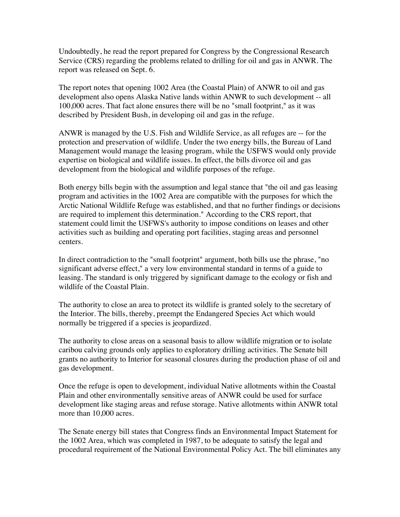Undoubtedly, he read the report prepared for Congress by the Congressional Research Service (CRS) regarding the problems related to drilling for oil and gas in ANWR. The report was released on Sept. 6.

The report notes that opening 1002 Area (the Coastal Plain) of ANWR to oil and gas development also opens Alaska Native lands within ANWR to such development -- all 100,000 acres. That fact alone ensures there will be no "small footprint," as it was described by President Bush, in developing oil and gas in the refuge.

ANWR is managed by the U.S. Fish and Wildlife Service, as all refuges are -- for the protection and preservation of wildlife. Under the two energy bills, the Bureau of Land Management would manage the leasing program, while the USFWS would only provide expertise on biological and wildlife issues. In effect, the bills divorce oil and gas development from the biological and wildlife purposes of the refuge.

Both energy bills begin with the assumption and legal stance that "the oil and gas leasing program and activities in the 1002 Area are compatible with the purposes for which the Arctic National Wildlife Refuge was established, and that no further findings or decisions are required to implement this determination." According to the CRS report, that statement could limit the USFWS's authority to impose conditions on leases and other activities such as building and operating port facilities, staging areas and personnel centers.

In direct contradiction to the "small footprint" argument, both bills use the phrase, "no significant adverse effect," a very low environmental standard in terms of a guide to leasing. The standard is only triggered by significant damage to the ecology or fish and wildlife of the Coastal Plain.

The authority to close an area to protect its wildlife is granted solely to the secretary of the Interior. The bills, thereby, preempt the Endangered Species Act which would normally be triggered if a species is jeopardized.

The authority to close areas on a seasonal basis to allow wildlife migration or to isolate caribou calving grounds only applies to exploratory drilling activities. The Senate bill grants no authority to Interior for seasonal closures during the production phase of oil and gas development.

Once the refuge is open to development, individual Native allotments within the Coastal Plain and other environmentally sensitive areas of ANWR could be used for surface development like staging areas and refuse storage. Native allotments within ANWR total more than 10,000 acres.

The Senate energy bill states that Congress finds an Environmental Impact Statement for the 1002 Area, which was completed in 1987, to be adequate to satisfy the legal and procedural requirement of the National Environmental Policy Act. The bill eliminates any